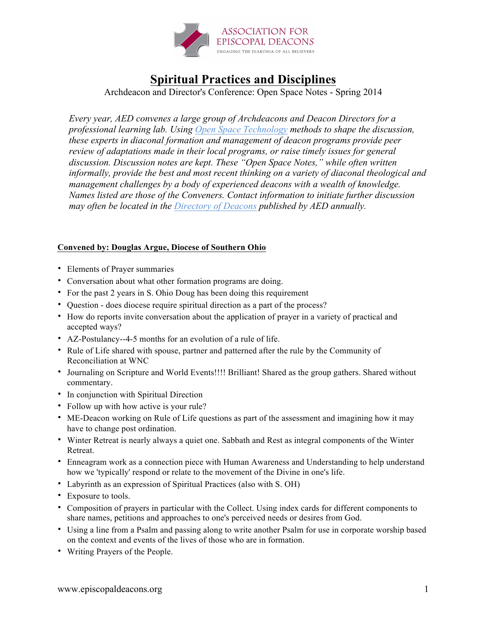

## **Spiritual Practices and Disciplines**

Archdeacon and Director's Conference: Open Space Notes - Spring 2014

*Every year, AED convenes a large group of Archdeacons and Deacon Directors for a professional learning lab. Using Open Space Technology methods to shape the discussion, these experts in diaconal formation and management of deacon programs provide peer review of adaptations made in their local programs, or raise timely issues for general discussion. Discussion notes are kept. These "Open Space Notes," while often written informally, provide the best and most recent thinking on a variety of diaconal theological and management challenges by a body of experienced deacons with a wealth of knowledge. Names listed are those of the Conveners. Contact information to initiate further discussion may often be located in the Directory of Deacons published by AED annually.*

## **Convened by: Douglas Argue, Diocese of Southern Ohio**

- Elements of Prayer summaries
- Conversation about what other formation programs are doing.
- For the past 2 years in S. Ohio Doug has been doing this requirement
- Question does diocese require spiritual direction as a part of the process?
- How do reports invite conversation about the application of prayer in a variety of practical and accepted ways?
- AZ-Postulancy--4-5 months for an evolution of a rule of life.
- Rule of Life shared with spouse, partner and patterned after the rule by the Community of Reconciliation at WNC
- Journaling on Scripture and World Events!!!! Brilliant! Shared as the group gathers. Shared without commentary.
- In conjunction with Spiritual Direction
- Follow up with how active is your rule?
- ME-Deacon working on Rule of Life questions as part of the assessment and imagining how it may have to change post ordination.
- Winter Retreat is nearly always a quiet one. Sabbath and Rest as integral components of the Winter Retreat.
- Enneagram work as a connection piece with Human Awareness and Understanding to help understand how we 'typically' respond or relate to the movement of the Divine in one's life.
- Labyrinth as an expression of Spiritual Practices (also with S. OH)
- Exposure to tools.
- Composition of prayers in particular with the Collect. Using index cards for different components to share names, petitions and approaches to one's perceived needs or desires from God.
- Using a line from a Psalm and passing along to write another Psalm for use in corporate worship based on the context and events of the lives of those who are in formation.
- Writing Prayers of the People.